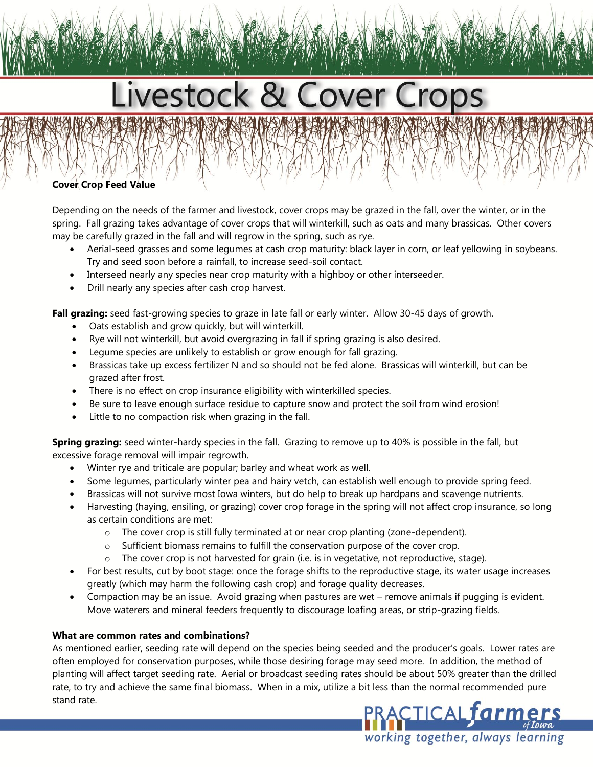# Livestock & Cover Crops

# **Cover Crop Feed Value**

Depending on the needs of the farmer and livestock, cover crops may be grazed in the fall, over the winter, or in the spring. Fall grazing takes advantage of cover crops that will winterkill, such as oats and many brassicas. Other covers may be carefully grazed in the fall and will regrow in the spring, such as rye.

- Aerial-seed grasses and some legumes at cash crop maturity: black layer in corn, or leaf yellowing in soybeans. Try and seed soon before a rainfall, to increase seed-soil contact.
- Interseed nearly any species near crop maturity with a highboy or other interseeder.
- Drill nearly any species after cash crop harvest.

**Fall grazing:** seed fast-growing species to graze in late fall or early winter. Allow 30-45 days of growth.

- Oats establish and grow quickly, but will winterkill.
- Rye will not winterkill, but avoid overgrazing in fall if spring grazing is also desired.
- Legume species are unlikely to establish or grow enough for fall grazing.
- Brassicas take up excess fertilizer N and so should not be fed alone. Brassicas will winterkill, but can be grazed after frost.
- There is no effect on crop insurance eligibility with winterkilled species.
- Be sure to leave enough surface residue to capture snow and protect the soil from wind erosion!
- Little to no compaction risk when grazing in the fall.

**Spring grazing:** seed winter-hardy species in the fall. Grazing to remove up to 40% is possible in the fall, but excessive forage removal will impair regrowth.

- Winter rye and triticale are popular; barley and wheat work as well.
- Some legumes, particularly winter pea and hairy vetch, can establish well enough to provide spring feed.
- Brassicas will not survive most Iowa winters, but do help to break up hardpans and scavenge nutrients.
- Harvesting (haying, ensiling, or grazing) cover crop forage in the spring will not affect crop insurance, so long as certain conditions are met:
	- o The cover crop is still fully terminated at or near crop planting (zone-dependent).
	- o Sufficient biomass remains to fulfill the conservation purpose of the cover crop.
	- o The cover crop is not harvested for grain (i.e. is in vegetative, not reproductive, stage).
- For best results, cut by boot stage: once the forage shifts to the reproductive stage, its water usage increases greatly (which may harm the following cash crop) and forage quality decreases.
- Compaction may be an issue. Avoid grazing when pastures are wet remove animals if pugging is evident. Move waterers and mineral feeders frequently to discourage loafing areas, or strip-grazing fields.

## **What are common rates and combinations?**

As mentioned earlier, seeding rate will depend on the species being seeded and the producer's goals. Lower rates are often employed for conservation purposes, while those desiring forage may seed more. In addition, the method of planting will affect target seeding rate. Aerial or broadcast seeding rates should be about 50% greater than the drilled rate, to try and achieve the same final biomass. When in a mix, utilize a bit less than the normal recommended pure stand rate.

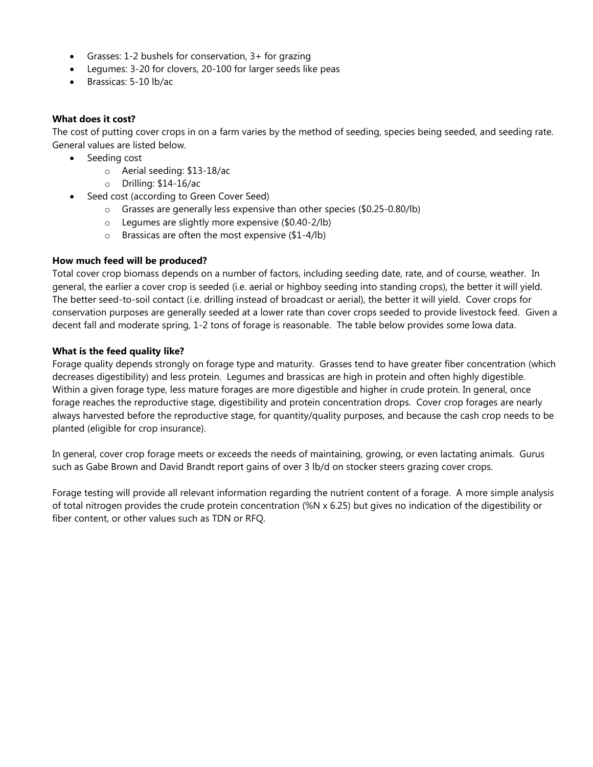- Grasses: 1-2 bushels for conservation, 3+ for grazing
- Legumes: 3-20 for clovers, 20-100 for larger seeds like peas
- Brassicas: 5-10 lb/ac

## **What does it cost?**

The cost of putting cover crops in on a farm varies by the method of seeding, species being seeded, and seeding rate. General values are listed below.

- Seeding cost
	- o Aerial seeding: \$13-18/ac
	- o Drilling: \$14-16/ac
- Seed cost (according to Green Cover Seed)
	- o Grasses are generally less expensive than other species (\$0.25-0.80/lb)
	- o Legumes are slightly more expensive (\$0.40-2/lb)
	- o Brassicas are often the most expensive (\$1-4/lb)

## **How much feed will be produced?**

Total cover crop biomass depends on a number of factors, including seeding date, rate, and of course, weather. In general, the earlier a cover crop is seeded (i.e. aerial or highboy seeding into standing crops), the better it will yield. The better seed-to-soil contact (i.e. drilling instead of broadcast or aerial), the better it will yield. Cover crops for conservation purposes are generally seeded at a lower rate than cover crops seeded to provide livestock feed. Given a decent fall and moderate spring, 1-2 tons of forage is reasonable. The table below provides some Iowa data.

## **What is the feed quality like?**

Forage quality depends strongly on forage type and maturity. Grasses tend to have greater fiber concentration (which decreases digestibility) and less protein. Legumes and brassicas are high in protein and often highly digestible. Within a given forage type, less mature forages are more digestible and higher in crude protein. In general, once forage reaches the reproductive stage, digestibility and protein concentration drops. Cover crop forages are nearly always harvested before the reproductive stage, for quantity/quality purposes, and because the cash crop needs to be planted (eligible for crop insurance).

In general, cover crop forage meets or exceeds the needs of maintaining, growing, or even lactating animals. Gurus such as Gabe Brown and David Brandt report gains of over 3 lb/d on stocker steers grazing cover crops.

Forage testing will provide all relevant information regarding the nutrient content of a forage. A more simple analysis of total nitrogen provides the crude protein concentration (%N x 6.25) but gives no indication of the digestibility or fiber content, or other values such as TDN or RFQ.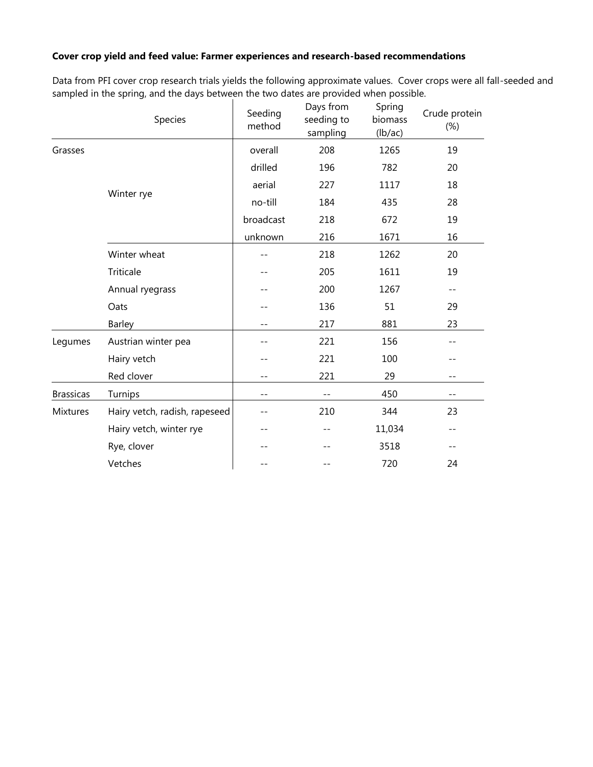## **Cover crop yield and feed value: Farmer experiences and research-based recommendations**

Data from PFI cover crop research trials yields the following approximate values. Cover crops were all fall-seeded and sampled in the spring, and the days between the two dates are provided when possible.

|                  | Species                       | Seeding<br>method | Days from<br>seeding to<br>sampling | Spring<br>biomass<br>(lb/ac) | Crude protein<br>$(\%)$ |
|------------------|-------------------------------|-------------------|-------------------------------------|------------------------------|-------------------------|
| Grasses          |                               | overall           | 208                                 | 1265                         | 19                      |
|                  |                               | drilled           | 196                                 | 782                          | 20                      |
|                  |                               | aerial            | 227                                 | 1117                         | 18                      |
|                  | Winter rye                    | no-till           | 184                                 | 435                          | 28                      |
|                  |                               | broadcast         | 218                                 | 672                          | 19                      |
|                  |                               | unknown           | 216                                 | 1671                         | 16                      |
|                  | Winter wheat                  |                   | 218                                 | 1262                         | 20                      |
|                  | Triticale                     |                   | 205                                 | 1611                         | 19                      |
|                  | Annual ryegrass               |                   | 200                                 | 1267                         | $- -$                   |
|                  | Oats                          |                   | 136                                 | 51                           | 29                      |
|                  | Barley                        |                   | 217                                 | 881                          | 23                      |
| Legumes          | Austrian winter pea           |                   | 221                                 | 156                          | $- -$                   |
|                  | Hairy vetch                   |                   | 221                                 | 100                          | --                      |
|                  | Red clover                    | $-$               | 221                                 | 29                           | $- -$                   |
| <b>Brassicas</b> | Turnips                       | --                | $- -$                               | 450                          | $- -$                   |
| Mixtures         | Hairy vetch, radish, rapeseed |                   | 210                                 | 344                          | 23                      |
|                  | Hairy vetch, winter rye       |                   |                                     | 11,034                       | $- -$                   |
|                  | Rye, clover                   |                   |                                     | 3518                         | --                      |
|                  | Vetches                       |                   |                                     | 720                          | 24                      |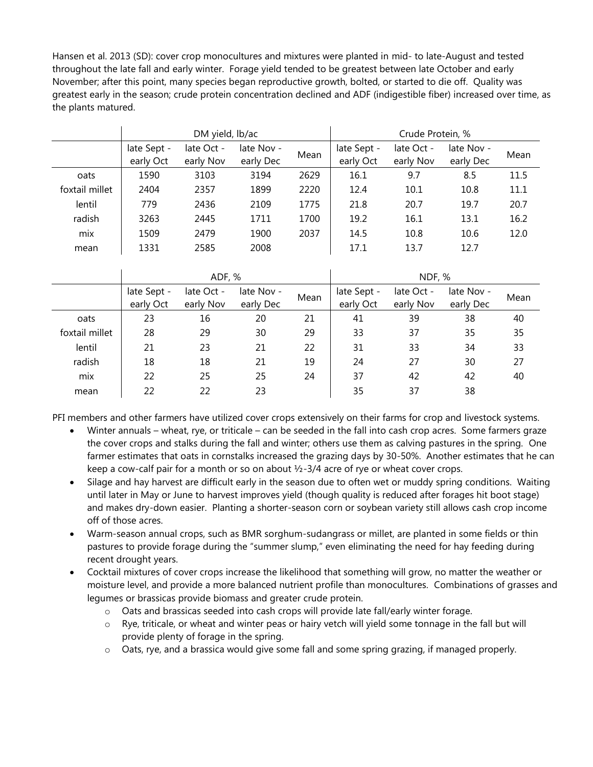Hansen et al. 2013 (SD): cover crop monocultures and mixtures were planted in mid- to late-August and tested throughout the late fall and early winter. Forage yield tended to be greatest between late October and early November; after this point, many species began reproductive growth, bolted, or started to die off. Quality was greatest early in the season; crude protein concentration declined and ADF (indigestible fiber) increased over time, as the plants matured.

|                | DM yield, lb/ac |            |            |      | Crude Protein, % |            |            |      |  |
|----------------|-----------------|------------|------------|------|------------------|------------|------------|------|--|
|                | late Sept -     | late Oct - | late Nov - | Mean | late Sept -      | late Oct - | late Nov - | Mean |  |
|                | early Oct       | early Nov  | early Dec  |      | early Oct        | early Nov  | early Dec  |      |  |
| oats           | 1590            | 3103       | 3194       | 2629 | 16.1             | 9.7        | 8.5        | 11.5 |  |
| foxtail millet | 2404            | 2357       | 1899       | 2220 | 12.4             | 10.1       | 10.8       | 11.1 |  |
| lentil         | 779             | 2436       | 2109       | 1775 | 21.8             | 20.7       | 19.7       | 20.7 |  |
| radish         | 3263            | 2445       | 1711       | 1700 | 19.2             | 16.1       | 13.1       | 16.2 |  |
| mix            | 1509            | 2479       | 1900       | 2037 | 14.5             | 10.8       | 10.6       | 12.0 |  |
| mean           | 1331            | 2585       | 2008       |      | 17.1             | 13.7       | 12.7       |      |  |

|                |                          | ADF, %                  |                         |      | NDF, %                   |                         |                         |      |
|----------------|--------------------------|-------------------------|-------------------------|------|--------------------------|-------------------------|-------------------------|------|
|                | late Sept -<br>early Oct | late Oct -<br>early Nov | late Nov -<br>early Dec | Mean | late Sept -<br>early Oct | late Oct -<br>early Nov | late Nov -<br>early Dec | Mean |
| oats           | 23                       | 16                      | 20                      | 21   | 41                       | 39                      | 38                      | 40   |
| foxtail millet | 28                       | 29                      | 30                      | 29   | 33                       | 37                      | 35                      | 35   |
| lentil         | 21                       | 23                      | 21                      | 22   | 31                       | 33                      | 34                      | 33   |
| radish         | 18                       | 18                      | 21                      | 19   | 24                       | 27                      | 30                      | 27   |
| mix            | 22                       | 25                      | 25                      | 24   | 37                       | 42                      | 42                      | 40   |
| mean           | 22                       | 22                      | 23                      |      | 35                       | 37                      | 38                      |      |

PFI members and other farmers have utilized cover crops extensively on their farms for crop and livestock systems.

- Winter annuals wheat, rye, or triticale can be seeded in the fall into cash crop acres. Some farmers graze the cover crops and stalks during the fall and winter; others use them as calving pastures in the spring. One farmer estimates that oats in cornstalks increased the grazing days by 30-50%. Another estimates that he can keep a cow-calf pair for a month or so on about  $\frac{1}{2}$ -3/4 acre of rye or wheat cover crops.
- Silage and hay harvest are difficult early in the season due to often wet or muddy spring conditions. Waiting until later in May or June to harvest improves yield (though quality is reduced after forages hit boot stage) and makes dry-down easier. Planting a shorter-season corn or soybean variety still allows cash crop income off of those acres.
- Warm-season annual crops, such as BMR sorghum-sudangrass or millet, are planted in some fields or thin pastures to provide forage during the "summer slump," even eliminating the need for hay feeding during recent drought years.
- Cocktail mixtures of cover crops increase the likelihood that something will grow, no matter the weather or moisture level, and provide a more balanced nutrient profile than monocultures. Combinations of grasses and legumes or brassicas provide biomass and greater crude protein.
	- o Oats and brassicas seeded into cash crops will provide late fall/early winter forage.
	- o Rye, triticale, or wheat and winter peas or hairy vetch will yield some tonnage in the fall but will provide plenty of forage in the spring.
	- o Oats, rye, and a brassica would give some fall and some spring grazing, if managed properly.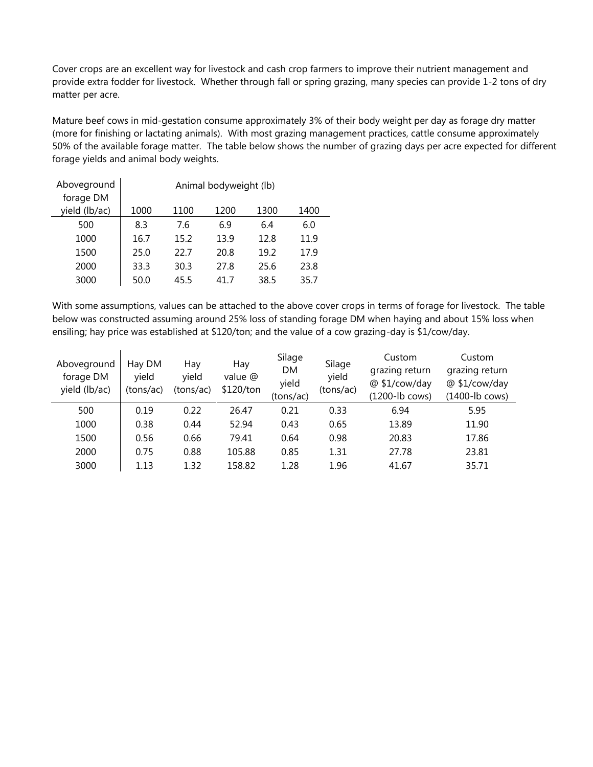Cover crops are an excellent way for livestock and cash crop farmers to improve their nutrient management and provide extra fodder for livestock. Whether through fall or spring grazing, many species can provide 1-2 tons of dry matter per acre.

Mature beef cows in mid-gestation consume approximately 3% of their body weight per day as forage dry matter (more for finishing or lactating animals). With most grazing management practices, cattle consume approximately 50% of the available forage matter. The table below shows the number of grazing days per acre expected for different forage yields and animal body weights.

| Aboveground   | Animal bodyweight (lb) |      |      |      |      |  |  |  |  |
|---------------|------------------------|------|------|------|------|--|--|--|--|
| forage DM     |                        |      |      |      |      |  |  |  |  |
| yield (lb/ac) | 1000                   | 1100 | 1200 | 1300 | 1400 |  |  |  |  |
| 500           | 8.3                    | 7.6  | 6.9  | 6.4  | 6.0  |  |  |  |  |
| 1000          | 16.7                   | 15.2 | 13.9 | 12.8 | 11.9 |  |  |  |  |
| 1500          | 25.0                   | 22.7 | 20.8 | 19.2 | 17.9 |  |  |  |  |
| 2000          | 33.3                   | 30.3 | 27.8 | 25.6 | 23.8 |  |  |  |  |
| 3000          | 50.0                   | 45.5 | 41.7 | 38.5 | 35.7 |  |  |  |  |

With some assumptions, values can be attached to the above cover crops in terms of forage for livestock. The table below was constructed assuming around 25% loss of standing forage DM when haying and about 15% loss when ensiling; hay price was established at \$120/ton; and the value of a cow grazing-day is \$1/cow/day.

| Aboveground<br>forage DM<br>yield (lb/ac) | Hay DM<br>yield<br>(tons/ac) | Hay<br>yield<br>(tons/ac) | Hay<br>value @<br>\$120/ton | Silage<br><b>DM</b><br>yield<br>(tons/ac) | Silage<br>yield<br>(tons/ac) | Custom<br>grazing return<br>@ \$1/cow/day<br>(1200-lb cows) | Custom<br>grazing return<br>@ \$1/cow/day<br>(1400-lb cows) |
|-------------------------------------------|------------------------------|---------------------------|-----------------------------|-------------------------------------------|------------------------------|-------------------------------------------------------------|-------------------------------------------------------------|
| 500                                       | 0.19                         | 0.22                      | 26.47                       | 0.21                                      | 0.33                         | 6.94                                                        | 5.95                                                        |
| 1000                                      | 0.38                         | 0.44                      | 52.94                       | 0.43                                      | 0.65                         | 13.89                                                       | 11.90                                                       |
| 1500                                      | 0.56                         | 0.66                      | 79.41                       | 0.64                                      | 0.98                         | 20.83                                                       | 17.86                                                       |
| 2000                                      | 0.75                         | 0.88                      | 105.88                      | 0.85                                      | 1.31                         | 27.78                                                       | 23.81                                                       |
| 3000                                      | 1.13                         | 1.32                      | 158.82                      | 1.28                                      | 1.96                         | 41.67                                                       | 35.71                                                       |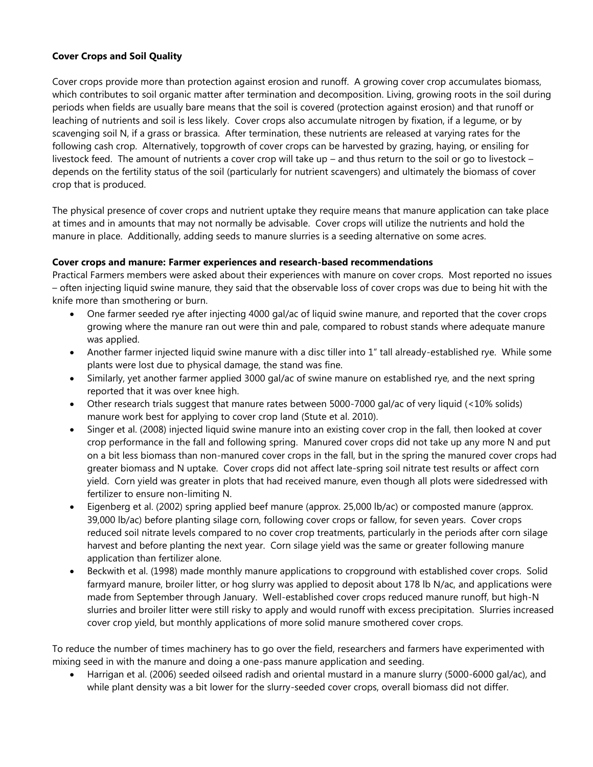## **Cover Crops and Soil Quality**

Cover crops provide more than protection against erosion and runoff. A growing cover crop accumulates biomass, which contributes to soil organic matter after termination and decomposition. Living, growing roots in the soil during periods when fields are usually bare means that the soil is covered (protection against erosion) and that runoff or leaching of nutrients and soil is less likely. Cover crops also accumulate nitrogen by fixation, if a legume, or by scavenging soil N, if a grass or brassica. After termination, these nutrients are released at varying rates for the following cash crop. Alternatively, topgrowth of cover crops can be harvested by grazing, haying, or ensiling for livestock feed. The amount of nutrients a cover crop will take up – and thus return to the soil or go to livestock – depends on the fertility status of the soil (particularly for nutrient scavengers) and ultimately the biomass of cover crop that is produced.

The physical presence of cover crops and nutrient uptake they require means that manure application can take place at times and in amounts that may not normally be advisable. Cover crops will utilize the nutrients and hold the manure in place. Additionally, adding seeds to manure slurries is a seeding alternative on some acres.

## **Cover crops and manure: Farmer experiences and research-based recommendations**

Practical Farmers members were asked about their experiences with manure on cover crops. Most reported no issues – often injecting liquid swine manure, they said that the observable loss of cover crops was due to being hit with the knife more than smothering or burn.

- One farmer seeded rye after injecting 4000 gal/ac of liquid swine manure, and reported that the cover crops growing where the manure ran out were thin and pale, compared to robust stands where adequate manure was applied.
- Another farmer injected liquid swine manure with a disc tiller into 1" tall already-established rye. While some plants were lost due to physical damage, the stand was fine.
- Similarly, yet another farmer applied 3000 gal/ac of swine manure on established rye, and the next spring reported that it was over knee high.
- Other research trials suggest that manure rates between 5000-7000 gal/ac of very liquid (<10% solids) manure work best for applying to cover crop land (Stute et al. 2010).
- Singer et al. (2008) injected liquid swine manure into an existing cover crop in the fall, then looked at cover crop performance in the fall and following spring. Manured cover crops did not take up any more N and put on a bit less biomass than non-manured cover crops in the fall, but in the spring the manured cover crops had greater biomass and N uptake. Cover crops did not affect late-spring soil nitrate test results or affect corn yield. Corn yield was greater in plots that had received manure, even though all plots were sidedressed with fertilizer to ensure non-limiting N.
- Eigenberg et al. (2002) spring applied beef manure (approx. 25,000 lb/ac) or composted manure (approx. 39,000 lb/ac) before planting silage corn, following cover crops or fallow, for seven years. Cover crops reduced soil nitrate levels compared to no cover crop treatments, particularly in the periods after corn silage harvest and before planting the next year. Corn silage yield was the same or greater following manure application than fertilizer alone.
- Beckwith et al. (1998) made monthly manure applications to cropground with established cover crops. Solid farmyard manure, broiler litter, or hog slurry was applied to deposit about 178 lb N/ac, and applications were made from September through January. Well-established cover crops reduced manure runoff, but high-N slurries and broiler litter were still risky to apply and would runoff with excess precipitation. Slurries increased cover crop yield, but monthly applications of more solid manure smothered cover crops.

To reduce the number of times machinery has to go over the field, researchers and farmers have experimented with mixing seed in with the manure and doing a one-pass manure application and seeding.

 Harrigan et al. (2006) seeded oilseed radish and oriental mustard in a manure slurry (5000-6000 gal/ac), and while plant density was a bit lower for the slurry-seeded cover crops, overall biomass did not differ.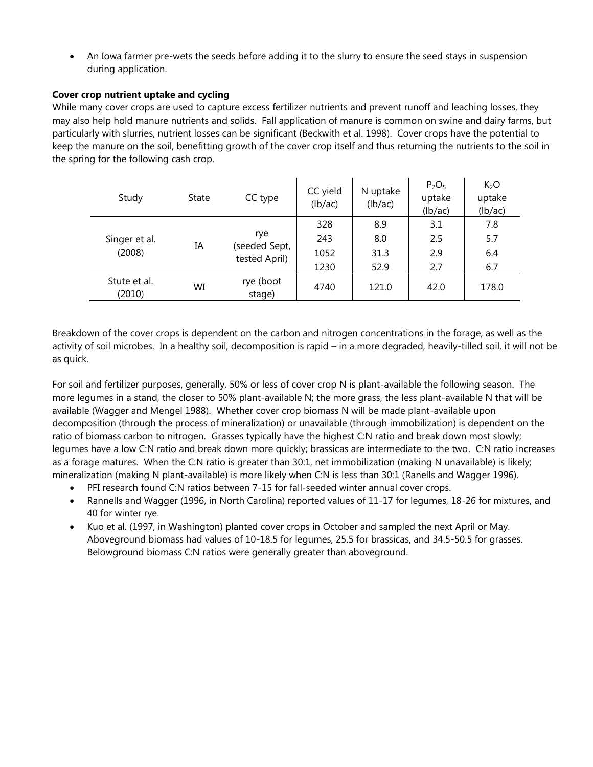An Iowa farmer pre-wets the seeds before adding it to the slurry to ensure the seed stays in suspension during application.

## **Cover crop nutrient uptake and cycling**

While many cover crops are used to capture excess fertilizer nutrients and prevent runoff and leaching losses, they may also help hold manure nutrients and solids. Fall application of manure is common on swine and dairy farms, but particularly with slurries, nutrient losses can be significant (Beckwith et al. 1998). Cover crops have the potential to keep the manure on the soil, benefitting growth of the cover crop itself and thus returning the nutrients to the soil in the spring for the following cash crop.

| Study                  | State | CC type                        | CC yield<br>(lb/ac) | N uptake<br>(lb/ac) | $P_2O_5$<br>uptake<br>(lb/ac) | K <sub>2</sub> O<br>uptake<br>(lb/ac) |
|------------------------|-------|--------------------------------|---------------------|---------------------|-------------------------------|---------------------------------------|
|                        |       |                                | 328                 | 8.9                 | 3.1                           | 7.8                                   |
| Singer et al.          | IΑ    | rye                            | 243                 | 8.0                 | 2.5                           | 5.7                                   |
| (2008)                 |       | (seeded Sept,<br>tested April) | 1052                | 31.3                | 2.9                           | 6.4                                   |
|                        |       |                                | 1230                | 52.9                | 2.7                           | 6.7                                   |
| Stute et al.<br>(2010) | WI    | rye (boot<br>stage)            | 4740                | 121.0               | 42.0                          | 178.0                                 |

Breakdown of the cover crops is dependent on the carbon and nitrogen concentrations in the forage, as well as the activity of soil microbes. In a healthy soil, decomposition is rapid – in a more degraded, heavily-tilled soil, it will not be as quick.

For soil and fertilizer purposes, generally, 50% or less of cover crop N is plant-available the following season. The more legumes in a stand, the closer to 50% plant-available N; the more grass, the less plant-available N that will be available (Wagger and Mengel 1988). Whether cover crop biomass N will be made plant-available upon decomposition (through the process of mineralization) or unavailable (through immobilization) is dependent on the ratio of biomass carbon to nitrogen. Grasses typically have the highest C:N ratio and break down most slowly; legumes have a low C:N ratio and break down more quickly; brassicas are intermediate to the two. C:N ratio increases as a forage matures. When the C:N ratio is greater than 30:1, net immobilization (making N unavailable) is likely; mineralization (making N plant-available) is more likely when C:N is less than 30:1 (Ranells and Wagger 1996).

- PFI research found C:N ratios between 7-15 for fall-seeded winter annual cover crops.
- Rannells and Wagger (1996, in North Carolina) reported values of 11-17 for legumes, 18-26 for mixtures, and 40 for winter rye.
- Kuo et al. (1997, in Washington) planted cover crops in October and sampled the next April or May. Aboveground biomass had values of 10-18.5 for legumes, 25.5 for brassicas, and 34.5-50.5 for grasses. Belowground biomass C:N ratios were generally greater than aboveground.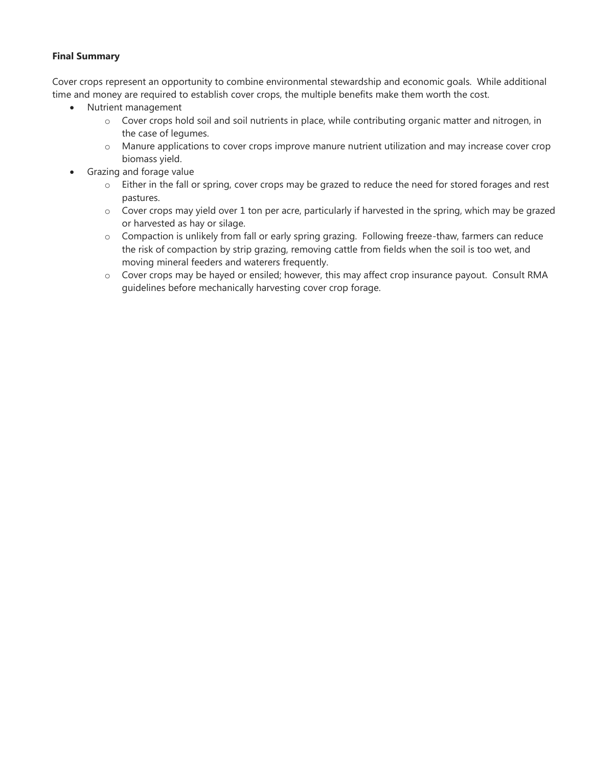## **Final Summary**

Cover crops represent an opportunity to combine environmental stewardship and economic goals. While additional time and money are required to establish cover crops, the multiple benefits make them worth the cost.

- Nutrient management
	- o Cover crops hold soil and soil nutrients in place, while contributing organic matter and nitrogen, in the case of legumes.
	- o Manure applications to cover crops improve manure nutrient utilization and may increase cover crop biomass yield.
- Grazing and forage value
	- o Either in the fall or spring, cover crops may be grazed to reduce the need for stored forages and rest pastures.
	- o Cover crops may yield over 1 ton per acre, particularly if harvested in the spring, which may be grazed or harvested as hay or silage.
	- o Compaction is unlikely from fall or early spring grazing. Following freeze-thaw, farmers can reduce the risk of compaction by strip grazing, removing cattle from fields when the soil is too wet, and moving mineral feeders and waterers frequently.
	- o Cover crops may be hayed or ensiled; however, this may affect crop insurance payout. Consult RMA guidelines before mechanically harvesting cover crop forage.